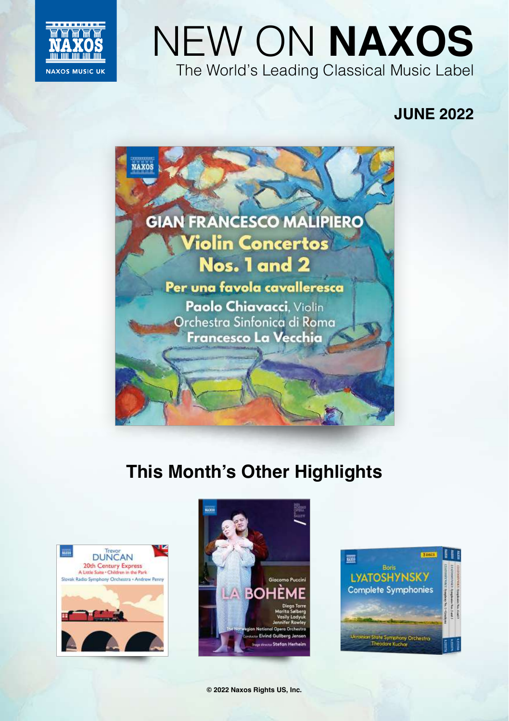

# NEW ON **NAXOS** The World's Leading Classical Music Label

## **JUNE 2022**



## **This Month's Other Highlights**





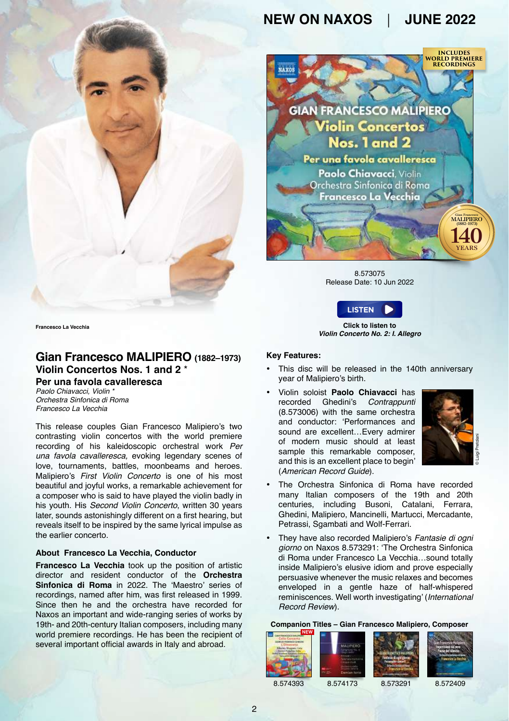

8.573075 Release Date: 10 Jun 2022



**Click to listen to** *Violin Concerto No. 2: I. Allegro*

#### **Key Features:**

- This disc will be released in the 140th anniversary year of Malipiero's birth.
- Violin soloist **[Paolo Chiavacci](https://www.naxos.com/person/Paolo_Chiavacci/175054.htm)** has recorded Ghedini's *Contrappunti* (8.573006) with the same orchestra and conductor: 'Performances and sound are excellent…Every admirer of modern music should at least sample this remarkable composer and this is an excellent place to begin' (*American Record Guide*).



- The Orchestra Sinfonica di Roma have recorded many Italian composers of the 19th and 20th centuries, including Busoni, Catalani, Ferrara, Ghedini, Malipiero, Mancinelli, Martucci, Mercadante, Petrassi, Sgambati and Wolf-Ferrari.
- They have also recorded Malipiero's *Fantasie di ogni giorno* on Naxos 8.573291: 'The Orchestra Sinfonica di Roma under Francesco La Vecchia…sound totally inside Malipiero's elusive idiom and prove especially persuasive whenever the music relaxes and becomes enveloped in a gentle haze of half-whispered reminiscences. Well worth investigating' (*International Record Review*).

#### **Companion T[itles – Gian Fra](https://naxosdirect.co.uk/items/gian-francesco-mailipiero-symphony-no.-6-527382)[ncesco Malipie](https://naxosdirect.co.uk/items/malipiero-fantasie-di-ogni-giomo-296235)r[o, Composer](https://naxosdirect.co.uk/items/malipiero-impressioni-dal-vero-1-3-pause-dal-silenzio-1-2-170532)**

| <b>NEW</b><br>Callo Concerto<br><b>BOD RIMMOD DIEDNI</b><br><b>COlverence</b><br><b>Obster Showard Calls</b> | <b>P4 275</b> | <b>JPIERO</b><br>Derrien Jorro | <b><i><u><i><u><b>TECHNOR</b></u></i></u></i></b> | <b>TIME</b><br><b>CAR CARD TRANSPORTER</b> |
|--------------------------------------------------------------------------------------------------------------|---------------|--------------------------------|---------------------------------------------------|--------------------------------------------|
|--------------------------------------------------------------------------------------------------------------|---------------|--------------------------------|---------------------------------------------------|--------------------------------------------|

8.574393 8.574173 8.573291 8.572409

**Francesco La Vecchia**

#### **Gian Francesco MALIPIERO (1882–1973) Violin Concertos Nos. 1 and 2** \* **Per una favola cavalleresca**

*Paolo Chiavacci, Violin \* Orchestra Sinfonica di Roma Francesco La Vecchia*

This release couples Gian Francesco Malipiero's two contrasting violin concertos with the world premiere recording of his kaleidoscopic orchestral work *Per una favola cavalleresca,* evoking legendary scenes of love, tournaments, battles, moonbeams and heroes. Malipiero's *First Violin Concerto* is one of his most beautiful and joyful works, a remarkable achievement for a composer who is said to have played the violin badly in his youth. His *Second Violin Concerto*, written 30 years later, sounds astonishingly different on a first hearing, but reveals itself to be inspired by the same lyrical impulse as the earlier concerto.

#### **About Francesco La Vecchia, Conductor**

**[Francesco La Vecchia](https://www.naxos.com/person/Francesco_La_Vecchia/80174.htm)** took up the position of artistic director and resident conductor of the **[Orchestra](https://www.naxos.com/person/Rome_Symphony_Orchestra/53637.htm)  [Sinfonica di Roma](https://www.naxos.com/person/Rome_Symphony_Orchestra/53637.htm)** in 2022. The 'Maestro' series of recordings, named after him, was first released in 1999. Since then he and the orchestra have recorded for Naxos an important and wide-ranging series of works by 19th- and 20th-century Italian composers, including many world premiere recordings. He has been the recipient of several important official awards in Italy and abroad.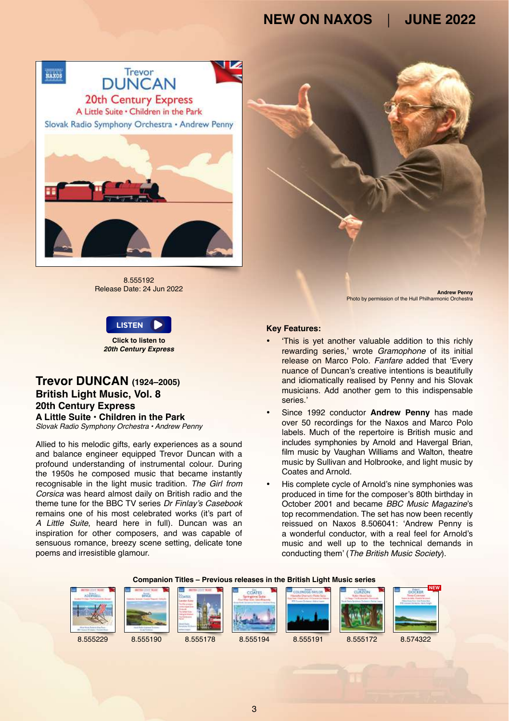

8.555192 Release Date: 24 Jun 2022





### **Trevor DUNCAN (1924–2005) British Light Music, Vol. 8 20th Century Express A Little Suite • Children in the Park**

*Slovak Radio Symphony Orchestra • Andrew Penny*

Allied to his melodic gifts, early experiences as a sound and balance engineer equipped Trevor Duncan with a profound understanding of instrumental colour. During the 1950s he composed music that became instantly recognisable in the light music tradition. *The Girl from Corsica* was heard almost daily on British radio and the theme tune for the BBC TV series Dr Finlay's Casebook remains one of his most celebrated works (it's part of *A Little Suite*, heard here in full). Duncan was an inspiration for other composers, and was capable of sensuous romance, breezy scene setting, delicate tone poems and irresistible glamour.

- 'This is yet another valuable addition to this richly rewarding series,' wrote *Gramophone* of its initial release on Marco Polo. *Fanfare* added that 'Every nuance of Duncan's creative intentions is beautifully and idiomatically realised by Penny and his Slovak musicians. Add another gem to this indispensable series.'
- Since 1992 conductor **[Andrew Penny](https://www.naxos.com/person/Andrew_Penny_31809/31809.htm)** has made over 50 recordings for the Naxos and Marco Polo labels. Much of the repertoire is British music and includes symphonies by Arnold and Havergal Brian, film music by Vaughan Williams and Walton, theatre music by Sullivan and Holbrooke, and light music by Coates and Arnold.
- His complete cycle of Arnold's nine symphonies was produced in time for the composer's 80th birthday in October 2001 and became *BBC Music Magazine*'s top recommendation. The set has now been recently reissued on Naxos 8.506041: 'Andrew Penny is a wonderful conductor, with a real feel for Arnold's music and well up to the technical demands in conducting them' (*The British Music Society*).

#### **Companion Titles – Previous releases in the British Light Music series**



3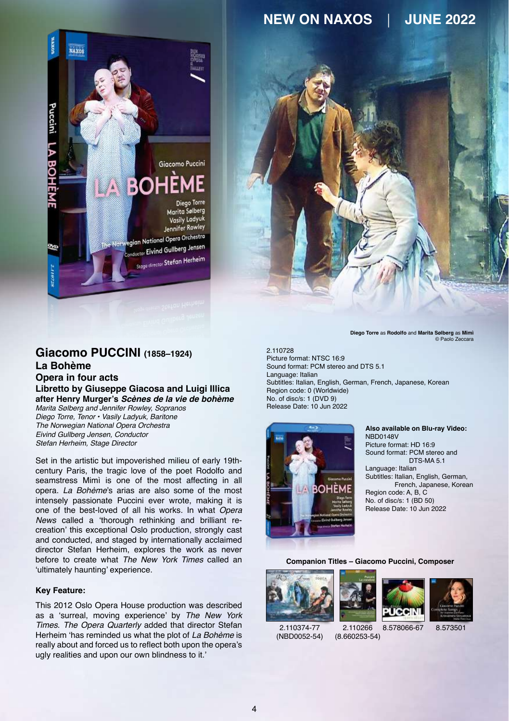



### **Giacomo PUCCINI (1858–1924) La Bohème**

**Opera in four acts Libretto by Giuseppe Giacosa and Luigi Illica after Henry Murger's** *Scènes de la vie de bohème* Marita Sølberg and Jennifer Rowley, Sopranos *Diego Torre, Tenor • Vasily Ladyuk, Baritone The Norwegian National Opera Orchestra* Eivind Gullberg Jensen, Conductor *Stefan Herheim, Stage Director*

Set in the artistic but impoverished milieu of early 19thcentury Paris, the tragic love of the poet Rodolfo and seamstress Mimì is one of the most affecting in all opera. *La Bohème*'s arias are also some of the most intensely passionate Puccini ever wrote, making it is one of the best-loved of all his works. In what *Opera News* called a 'thorough rethinking and brilliant recreation' this exceptional Oslo production, strongly cast and conducted, and staged by internationally acclaimed director Stefan Herheim, explores the work as never before to create what *The New York Times* called an 'ultimately haunting' experience.

#### **Key Feature:**

This 2012 Oslo Opera House production was described as a 'surreal, moving experience' by *The New York Times*. *The Opera Quarterly* added that director Stefan Herheim 'has reminded us what the plot of *La Bohème* is really about and forced us to reflect both upon the opera's ugly realities and upon our own blindness to it.'

**Diego Torre** as **Rodolfo** and **Marita Sølberg** as **Mimì**  © Paolo Zeccara

2.110728 Picture format: NTSC 16:9 Sound format: PCM stereo and DTS 5.1 Language: Italian Subtitles: Italian, English, German, French, Japanese, Korean Region code: 0 (Worldwide) No. of disc/s: 1 (DVD 9) Release Date: 10 Jun 2022



**Also available on Blu-ray Video:** NBD0148V Picture format: HD 16:9 Sound format: PCM stereo and DTS-MA<sub>5.1</sub> Language: Italian Subtitles: Italian, English, German, French, Japanese, Korean

Region code: A, B, C No. of disc/s: 1 (BD 50) Release Date: 10 Jun 2022

#### **Companion Titles – Giacomo Puccini, Composer**







([NBD0052-54\)](https://naxosdirect.co.uk/items/verdi-puccini-3-live-operas-375017)

2.110266 [\(8.660253-54\)](https://naxosdirect.co.uk/items/puccini-la-rondine-170022) 2.110374-77 2.110266 8.578066-67 8.573501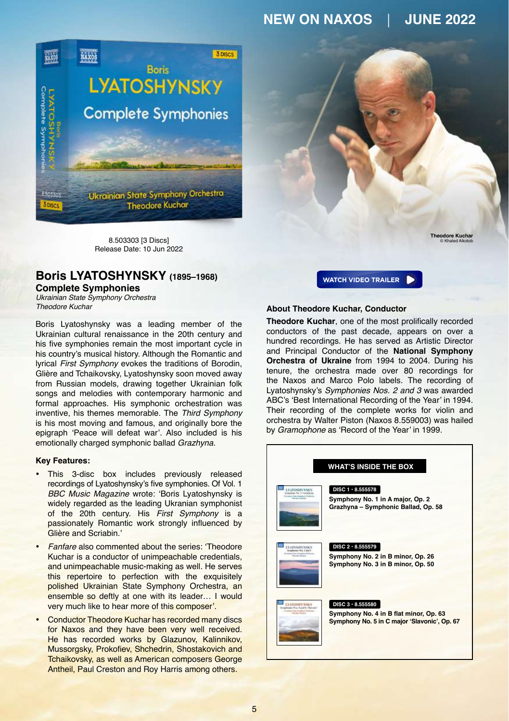

8.503303 [3 Discs] Release Date: 10 Jun 2022

### **Boris LYATOSHYNSKY (1895–1968)**

#### **Complete Symphonies**

*Ukrainian State Symphony Orchestra Theodore Kuchar*

Boris Lyatoshynsky was a leading member of the Ukrainian cultural renaissance in the 20th century and his five symphonies remain the most important cycle in his country's musical history. Although the Romantic and lyrical *First Symphony* evokes the traditions of Borodin, Glière and Tchaikovsky, Lyatoshynsky soon moved away from Russian models, drawing together Ukrainian folk songs and melodies with contemporary harmonic and formal approaches. His symphonic orchestration was inventive, his themes memorable. The *Third Symphony* is his most moving and famous, and originally bore the epigraph 'Peace will defeat war'. Also included is his emotionally charged symphonic ballad *Grazhyna*.

#### **Key Features:**

- This 3-disc box includes previously released recordings of Lyatoshynsky's five symphonies. Of Vol. 1 *BBC Music Magazine* wrote: 'Boris Lyatoshynsky is widely regarded as the leading Ukranian symphonist of the 20th century. His *First Symphony* is a passionately Romantic work strongly influenced by Glière and Scriabin.'
- *Fanfare* also commented about the series: 'Theodore Kuchar is a conductor of unimpeachable credentials, and unimpeachable music-making as well. He serves this repertoire to perfection with the exquisitely polished Ukrainian State Symphony Orchestra, an ensemble so deftly at one with its leader… I would very much like to hear more of this composer'.
- Conductor Theodore Kuchar has recorded many discs for Naxos and they have been very well received. He has recorded works by Glazunov, Kalinnikov, Mussorgsky, Prokofiev, Shchedrin, Shostakovich and Tchaikovsky, as well as American composers George Antheil, Paul Creston and Roy Harris among others.

**[WATCH VIDEO TRAILER](https://youtu.be/pBY-7hOkOUU)** N **Theodore Kuchar** © Khaled Alkotob

#### **About Theodore Kuchar, Conductor**

**[Theodore Kuchar](https://www.naxos.com/person/Theodore_Kuchar_30334/30334.htm)**, one of the most prolifically recorded conductors of the past decade, appears on over a hundred recordings. He has served as Artistic Director and Principal Conductor of the **[National Symphony](https://www.naxos.com/person/Ukrainian_State_Symphony_Orchestra/46435.htm) [Orchestra of Ukraine](https://www.naxos.com/person/Ukrainian_State_Symphony_Orchestra/46435.htm)** from 1994 to 2004. During his tenure, the orchestra made over 80 recordings for the Naxos and Marco Polo labels. The recording of Lyatoshynsky's *Symphonies Nos. 2 and 3* was awarded ABC's 'Best International Recording of the Year' in 1994. Their recording of the complete works for violin and orchestra by Walter Piston (Naxos 8.559003) was hailed by *Gramophone* as 'Record of the Year' in 1999.

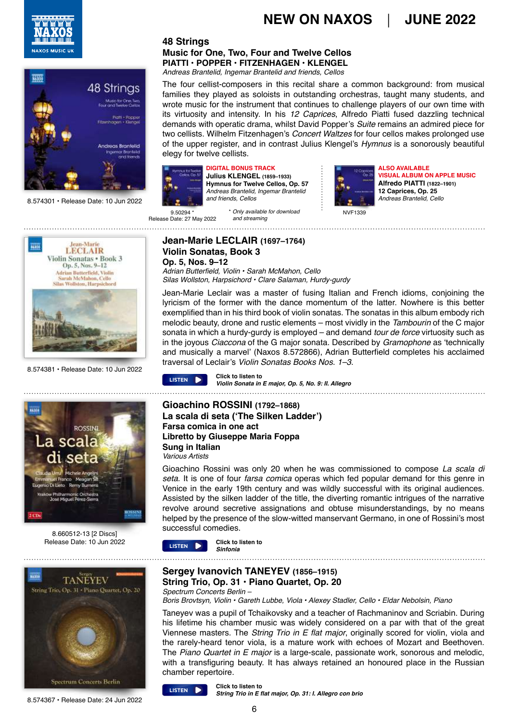



8.574301 • Release Date: 10 Jun 2022

#### **48 Strings Music for One, Two, Four and Twelve Cellos PIATTI • POPPER • FITZENHAGEN • KLENGEL** *Andreas Brantelid, Ingemar Brantelid and friends, Cellos*

The four cellist-composers in this recital share a common background: from musical families they played as soloists in outstanding orchestras, taught many students, and wrote music for the instrument that continues to challenge players of our own time with its virtuosity and intensity. In his *12 Caprices*, Alfredo Piatti fused dazzling technical demands with operatic drama, whilst David Popper's *Suite* remains an admired piece for two cellists. Wilhelm Fitzenhagen's *Concert Waltzes* for four cellos makes prolonged use of the upper register, and in contrast Julius Klengel's *Hymnus* is a sonorously beautiful elegy for twelve cellists.



**DIGITAL BONUS TRACK Julius KLENGEL (1859–1933) Hymnus for Twelve Cellos, Op. 57** *Andreas Brantelid, Ingemar Brantelid and friends, Cellos*



**ALSO AVAILABLE VISUAL ALBUM ON APPLE MUSIC Alfredo PIATTI (1822–1901) 12 Caprices, Op. 25** *Andreas Brantelid, Cello*

9.50294 \* Release Date: 27 May 2022  *and streaming*





8.660512-13 [2 Discs] Release Date: 10 Jun 2022



8.574367 • Release Date: 24 Jun 2022

#### **Jean-Marie LECLAIR (1697–1764) Violin Sonatas, Book 3 Op. 5, Nos. 9–12**

Adrian Butterfield, Violin • Sarah McMahon, Cello *Silas Wollston, Harpsichord • Clare Salaman, Hurdy-gurdy*

Jean-Marie Leclair was a master of fusing Italian and French idioms, conjoining the lyricism of the former with the dance momentum of the latter. Nowhere is this better exemplified than in his third book of violin sonatas. The sonatas in this album embody rich melodic beauty, drone and rustic elements – most vividly in the Tambourin of the C major sonata in which a hurdy-gurdy is employed – and demand *tour de force* virtuosity such as in the joyous *Ciaccona* of the G major sonata. Described by *Gramophone* as 'technically and musically a marvel' (Naxos 8.572866), Adrian Butterfield completes his acclaimed traversal of Leclair's *Violin Sonatas Books Nos. 1–3.* 8.574381 • Release Date: 10 Jun 2022

**Click to listen to [LISTEN](https://soundcloud.com/naxosmusicgroup/8574381-track02-excerpt) D Click to listen to LISTEN LISTEN LIGAGE** *Violin Sonata in E major, Op. 5, No. 9: II. Allegro* 

#### **Gioachino ROSSINI (1792–1868) La scala di seta ('The Silken Ladder') Farsa comica in one act Libretto by Giuseppe Maria Foppa Sung in Italian** *Various Artists*

Gioachino Rossini was only 20 when he was commissioned to compose *La scala di seta*. It is one of four *farsa comica* operas which fed popular demand for this genre in Venice in the early 19th century and was wildly successful with its original audiences. Assisted by the silken ladder of the title, the diverting romantic intrigues of the narrative revolve around secretive assignations and obtuse misunderstandings, by no means helped by the presence of the slow-witted manservant Germano, in one of Rossini's most successful comedies.

**Click to listen to [LISTEN](https://soundcloud.com/naxosmusicgroup/866051213-cd1-track01-excerpt)** 

### **Sergey Ivanovich TANEYEV (1856–1915)**

**String Trio, Op. 31 • Piano Quartet, Op. 20** *Spectrum Concerts Berlin –*

Boris Brovtsyn, Violin • Gareth Lubbe, Viola • Alexey Stadler, Cello • Eldar Nebolsin, Piano

Taneyev was a pupil of Tchaikovsky and a teacher of Rachmaninov and Scriabin. During his lifetime his chamber music was widely considered on a par with that of the great Viennese masters. The *String Trio in* E flat major, originally scored for violin, viola and the rarely-heard tenor viola, is a mature work with echoes of Mozart and Beethoven. The Piano Quartet in E major is a large-scale, passionate work, sonorous and melodic, with a transfiguring beauty. It has always retained an honoured place in the Russian chamber repertoire.



6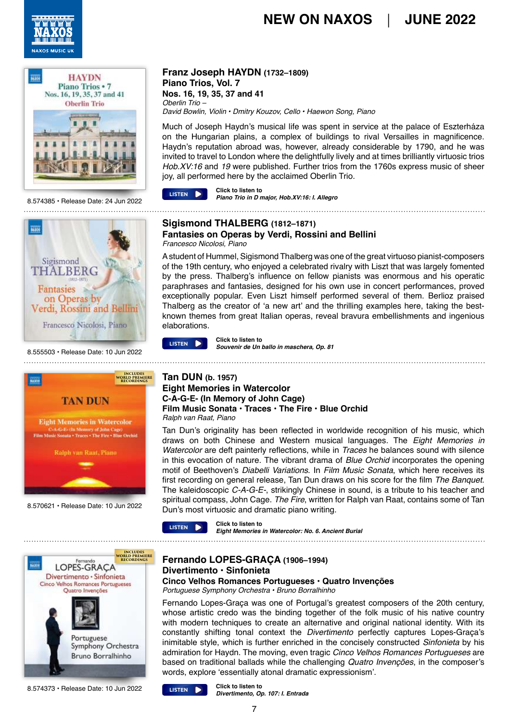



8.574385 • Release Date: 24 Jun 2022



8.555503 • Release Date: 10 Jun 2022



8.570621 • Release Date: 10 Jun 2022



8.574373 • Release Date: 10 Jun 2022

### **Franz Joseph HAYDN (1732–1809) Piano Trios, Vol. 7**

**Nos. 16, 19, 35, 37 and 41** Oberlin Trio – *David Bowlin, Violin • Dmitry Kouzov, Cello • Haewon Song, Piano*

Much of Joseph Haydn's musical life was spent in service at the palace of Eszterháza on the Hungarian plains, a complex of buildings to rival Versailles in magnificence. Haydn's reputation abroad was, however, already considerable by 1790, and he was invited to travel to London where the delightfully lively and at times brilliantly virtuosic trios Hob.XV:16 and *19* were published. Further trios from the 1760s express music of sheer joy, all performed here by the acclaimed Oberlin Trio.



**Click to listen to Prime Trio in D major, Hob.XV:16: I. Allegro Piano Trio in D major. Hob.XV:16: I. Allegro** 

#### **Sigismond THALBERG (1812–1871) Fantasies on Operas by Verdi, Rossini and Bellini** *Francesco Nicolosi, Piano*

A student of Hummel, Sigismond Thalberg was one of the great virtuoso pianist-composers of the 19th century, who enjoyed a celebrated rivalry with Liszt that was largely fomented by the press. Thalberg's influence on fellow pianists was enormous and his operatic paraphrases and fantasies, designed for his own use in concert performances, proved exceptionally popular. Even Liszt himself performed several of them. Berlioz praised Thalberg as the creator of 'a new art' and the thrilling examples here, taking the bestknown themes from great Italian operas, reveal bravura embellishments and ingenious elaborations.



**Click to listen to EXECUTER** Click to listen to<br>Souvenir de Un ballo in maschera, Op. 81 

#### **Tan DUN (b. 1957) Eight Memories in Watercolor C-A-G-E- (In Memory of John Cage) Film Music Sonata • Traces • The Fire • Blue Orchid** *Ralph van Raat, Piano*

Tan Dun's originality has been reflected in worldwide recognition of his music, which draws on both Chinese and Western musical languages. The *Eight Memories in Watercolor* are deft painterly reflections, while in *Traces* he balances sound with silence in this evocation of nature. The vibrant drama of *Blue Orchid* incorporates the opening motif of Beethoven's Diabelli Variations. In *Film Music Sonata*, which here receives its first recording on general release, Tan Dun draws on his score for the film *The Banquet*. The kaleidoscopic *C-A-G-E-*, strikingly Chinese in sound, is a tribute to his teacher and spiritual compass, John Cage. *The Fire*, written for Ralph van Raat, contains some of Tan Dun's most virtuosic and dramatic piano writing.



**Click to listen to EXAMPLE CRICK TO LISTER 10**<br>*Eight Memories in Watercolor: No. 6. Ancient Burial* 

**Fernando LOPES-GRAÇA (1906–1994) Divertimento • Sinfonieta Cinco Velhos Romances Portugueses • Quatro Invenções**

*Portuguese Symphony Orchestra • Bruno Borralhinho*

Fernando Lopes-Graça was one of Portugal's greatest composers of the 20th century, whose artistic credo was the binding together of the folk music of his native country with modern techniques to create an alternative and original national identity. With its constantly shifting tonal context the *Divertimento* perfectly captures Lopes-Graça's inimitable style, which is further enriched in the concisely constructed *Sinfonieta* by his admiration for Haydn. The moving, even tragic *Cinco Velhos Romances Portugueses* are based on traditional ballads while the challenging *Quatro Invenções*, in the composer's words, explore 'essentially atonal dramatic expressionism'.



**Click to listen to Divertimento, Op. 107: I. Entrada**